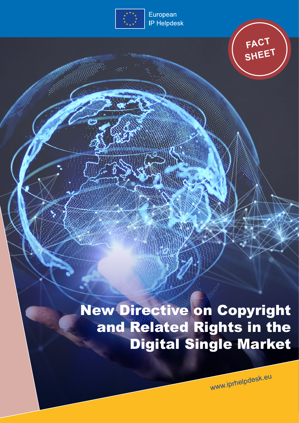

European **IP Helpdesk** 



New Directive on Copyright and Related Rights in the Digital Single Market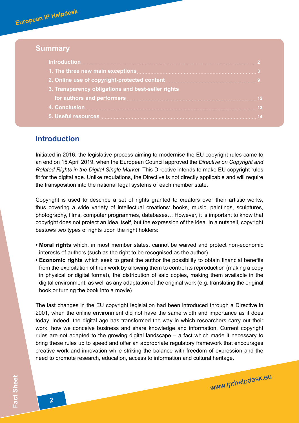**European IP Helpdesk**

## **Summary**

| 1. The three new main exceptions <b>Manual Acception and the set of the set of the set of the set of the set of the set of the set of the set of the set of the set of the set of the set of the set of the set of the set of th</b> |  |
|--------------------------------------------------------------------------------------------------------------------------------------------------------------------------------------------------------------------------------------|--|
| 2. Online use of copyright-protected content manuscription of 9                                                                                                                                                                      |  |
| 3. Transparency obligations and best-seller rights                                                                                                                                                                                   |  |
|                                                                                                                                                                                                                                      |  |
|                                                                                                                                                                                                                                      |  |
|                                                                                                                                                                                                                                      |  |

## **Introduction**

Initiated in 2016, the legislative process aiming to modernise the EU copyright rules came to an end on 15 April 2019, when the European Council approved the *Directive on Copyright and Related Rights in the Digital Single Market*. This Directive intends to make EU copyright rules fit for the digital age. Unlike regulations, the Directive is not directly applicable and will require the transposition into the national legal systems of each member state.

Copyright is used to describe a set of rights granted to creators over their artistic works, thus covering a wide variety of intellectual creations: books, music, paintings, sculptures, photography, films, computer programmes, databases… However, it is important to know that copyright does not protect an idea itself, but the expression of the idea. In a nutshell, copyright bestows two types of rights upon the right holders:

- **Moral rights** which, in most member states, cannot be waived and protect non-economic interests of authors (such as the right to be recognised as the author)
- **Economic rights** which seek to grant the author the possibility to obtain financial benefits from the exploitation of their work by allowing them to control its reproduction (making a copy in physical or digital format), the distribution of said copies, making them available in the digital environment, as well as any adaptation of the original work (e.g. translating the original book or turning the book into a movie)

The last changes in the EU copyright legislation had been introduced through a Directive in 2001, when the online environment did not have the same width and importance as it does today. Indeed, the digital age has transformed the way in which researchers carry out their work, how we conceive business and share knowledge and information. Current copyright rules are not adapted to the growing digital landscape – a fact which made it necessary to bring these rules up to speed and offer an appropriate regulatory framework that encourages creative work and innovation while striking the balance with freedom of expression and the need to promote research, education, access to information and cultural heritage.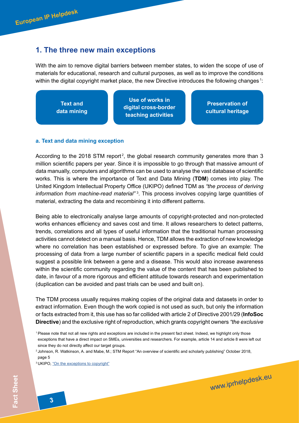# <span id="page-2-0"></span>**1. The three new main exceptions**

With the aim to remove digital barriers between member states, to widen the scope of use of materials for educational, research and cultural purposes, as well as to improve the conditions within the digital copyright market place, the new Directive introduces the following changes  $^{\text{\tiny{1}}}$ :

**Text and data mining Preservation of cultural heritage Use of works in digital cross-border teaching activities**

### **a. Text and data mining exception**

According to the 2018 STM report<sup>2</sup>, the global research community generates more than 3 million scientific papers per year. Since it is impossible to go through that massive amount of data manually, computers and algorithms can be used to analyse the vast database of scientific works. This is where the importance of Text and Data Mining (**TDM**) comes into play. The United Kingdom Intellectual Property Office (UKIPO) defined TDM as *"the process of deriving information from machine-read material"*  3 . This process involves copying large quantities of material, extracting the data and recombining it into different patterns.

Being able to electronically analyse large amounts of copyright-protected and non-protected works enhances efficiency and saves cost and time. It allows researchers to detect patterns, trends, correlations and all types of useful information that the traditional human processing activities cannot detect on a manual basis. Hence, TDM allows the extraction of new knowledge where no correlation has been established or expressed before. To give an example: The processing of data from a large number of scientific papers in a specific medical field could suggest a possible link between a gene and a disease. This would also increase awareness within the scientific community regarding the value of the content that has been published to date, in favour of a more rigorous and efficient attitude towards research and experimentation (duplication can be avoided and past trials can be used and built on).

The TDM process usually requires making copies of the original data and datasets in order to extract information. Even though the work copied is not used as such, but only the information or facts extracted from it, this use has so far collided with article 2 of Directive 2001/29 (**InfoSoc Directive**) and the exclusive right of reproduction, which grants copyright owners *"the exclusive* 

<sup>1</sup>Please note that not all new rights and exceptions are included in the present fact sheet. Indeed, we highlight only those exceptions that have a direct impact on SMEs, universities and researchers. For example, article 14 and article 8 were left out since they do not directly affect our target groups.

<sup>&</sup>lt;sup>2</sup> Johnson, R. Watkinson, A. and Mabe, M.; STM Report "An overview of scientific and scholarly publishing" October 2018, page 5

<sup>&</sup>lt;sup>3</sup> UKIPO, ["On the exceptions to copyright"](https://www.gov.uk/guidance/exceptions-to-copyright)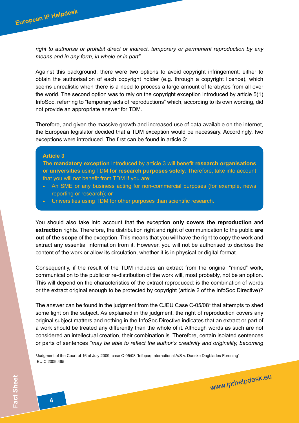*right to authorise or prohibit direct or indirect, temporary or permanent reproduction by any means and in any form, in whole or in part"*.

Against this background, there were two options to avoid copyright infringement: either to obtain the authorisation of each copyright holder (e.g. through a copyright licence), which seems unrealistic when there is a need to process a large amount of terabytes from all over the world. The second option was to rely on the copyright exception introduced by article 5(1) InfoSoc, referring to "temporary acts of reproductions" which, according to its own wording, did not provide an appropriate answer for TDM.

Exceptions were introduced. The first can be found in article 3: Therefore, and given the massive growth and increased use of data available on the internet, the European legislator decided that a TDM exception would be necessary. Accordingly, two

#### **Article 3**

The **mandatory exception** introduced by article 3 will benefit **research organisations or universities** using TDM **for research purposes solely**. Therefore, take into account that you will not benefit from TDM if you are:

- An SME or any business acting for non-commercial purposes (for example, news reporting or research); or
- Universities using TDM for other purposes than scientific research.

You should also take into account that the exception **only covers the reproduction** and **extraction** rights. Therefore, the distribution right and right of communication to the public **are out of the scope** of the exception. This means that you will have the right to copy the work and extract any essential information from it. However, you will not be authorised to disclose the content of the work or allow its circulation, whether it is in physical or digital format.

Consequently, if the result of the TDM includes an extract from the original "mined" work, communication to the public or re-distribution of the work will, most probably, not be an option. This will depend on the characteristics of the extract reproduced: is the combination of words or the extract original enough to be protected by copyright (article 2 of the InfoSoc Directive)?

The answer can be found in the judgment from the CJEU Case C-05/08<sup>4</sup> that attempts to shed some light on the subject. As explained in the judgment, the right of reproduction covers any original subject matters and nothing in the InfoSoc Directive indicates that an extract or part of a work should be treated any differently than the whole of it. Although words as such are not considered an intellectual creation, their combination is. Therefore, certain isolated sentences or parts of sentences *"may be able to reflect the author's creativity and originality, becoming* 

www.iprhelpdesk.eu

4 Judgment of the Court of 16 of July 2009, case C-05/08 "Infopaq International A/S v. Danske Dagblades Forening" EU:C:2009:465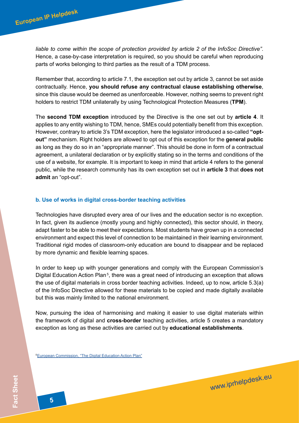*liable to come within the scope of protection provided by article 2 of the InfoSoc Directive"*. Hence, a case-by-case interpretation is required, so you should be careful when reproducing parts of works belonging to third parties as the result of a TDM process.

Remember that, according to article 7.1, the exception set out by article 3, cannot be set aside contractually. Hence, **you should refuse any contractual clause establishing otherwise**, since this clause would be deemed as unenforceable. However, nothing seems to prevent right holders to restrict TDM unilaterally by using Technological Protection Measures (**TPM**).

The **second TDM exception** introduced by the Directive is the one set out by **article 4**. It applies to any entity wishing to TDM, hence, SMEs could potentially benefit from this exception. However, contrary to article 3's TDM exception, here the legislator introduced a so-called **"optout"** mechanism. Right holders are allowed to opt out of this exception for the **general public**  as long as they do so in an "appropriate manner". This should be done in form of a contractual agreement, a unilateral declaration or by explicitly stating so in the terms and conditions of the use of a website, for example. It is important to keep in mind that article 4 refers to the general public, while the research community has its own exception set out in **article 3** that **does not admit** an "opt-out".

### **b. Use of works in digital cross-border teaching activities**

Technologies have disrupted every area of our lives and the education sector is no exception. In fact, given its audience (mostly young and highly connected), this sector should, in theory, adapt faster to be able to meet their expectations. Most students have grown up in a connected environment and expect this level of connection to be maintained in their learning environment. Traditional rigid modes of classroom-only education are bound to disappear and be replaced by more dynamic and flexible learning spaces.

In order to keep up with younger generations and comply with the European Commission's Digital Education Action Plan<sup>5</sup>, there was a great need of introducing an exception that allows the use of digital materials in cross border teaching activities. Indeed, up to now, article 5.3(a) of the InfoSoc Directive allowed for these materials to be copied and made digitally available but this was mainly limited to the national environment.

Now, pursuing the idea of harmonising and making it easier to use digital materials within the framework of digital and **cross-border** teaching activities, article 5 creates a mandatory exception as long as these activities are carried out by **educational establishments**.

www.iprhelpdesk.eu

5 [European Commission, "The Digital Education Action Plan"](https://ec.europa.eu/education/education-in-the-eu/digital-education-action-plan_en)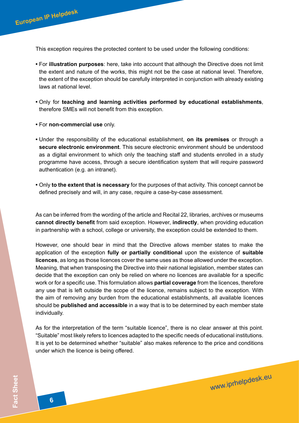This exception requires the protected content to be used under the following conditions:

- For **illustration purposes**: here, take into account that although the Directive does not limit the extent and nature of the works, this might not be the case at national level. Therefore, the extent of the exception should be carefully interpreted in conjunction with already existing laws at national level.
- Only for **teaching and learning activities performed by educational establishments**, therefore SMEs will not benefit from this exception.
- For **non-commercial use** only.

**European IP Helpdesk**

- Under the responsibility of the educational establishment, **on its premises** or through a **secure electronic environment**. This secure electronic environment should be understood as a digital environment to which only the teaching staff and students enrolled in a study programme have access, through a secure identification system that will require password authentication (e.g. an intranet).
- Only **to the extent that is necessary** for the purposes of that activity. This concept cannot be defined precisely and will, in any case, require a case-by-case assessment.

As can be inferred from the wording of the article and Recital 22, libraries, archives or museums **cannot directly benefit** from said exception. However, **indirectly**, when providing education in partnership with a school, college or university, the exception could be extended to them.

However, one should bear in mind that the Directive allows member states to make the application of the exception **fully or partially conditional** upon the existence of **suitable licences**, as long as those licences cover the same uses as those allowed under the exception. Meaning, that when transposing the Directive into their national legislation, member states can decide that the exception can only be relied on where no licences are available for a specific work or for a specific use. This formulation allows **partial coverage** from the licences, therefore any use that is left outside the scope of the licence, remains subject to the exception. With the aim of removing any burden from the educational establishments, all available licences should be **published and accessible** in a way that is to be determined by each member state individually.

As for the interpretation of the term "suitable licence", there is no clear answer at this point. "Suitable" most likely refers to licences adapted to the specific needs of educational institutions. It is yet to be determined whether "suitable" also makes reference to the price and conditions under which the licence is being offered.

www.iprhelpdesk.eu

**6**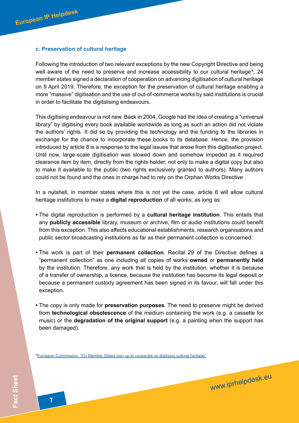### **c. Preservation of cultural heritage**

Following the introduction of two relevant exceptions by the new Copyright Directive and being well aware of the need to preserve and increase accessibility to our cultural heritage<sup>6</sup>, 24 member states signed a declaration of cooperation on advancing digitisation of cultural heritage on 9 April 2019. Therefore, the exception for the preservation of cultural heritage enabling a more "massive" digitisation and the use of out-of-commerce works by said institutions is crucial in order to facilitate the digitalising endeavours.

This digitising endeavour is not new. Back in 2004, Google had the idea of creating a "universal library" by digitising every book available worldwide as long as such an action did not violate the authors' rights. It did so by providing the technology and the funding to the libraries in exchange for the chance to incorporate these books to its database. Hence, the provision introduced by article 8 is a response to the legal issues that arose from this digitisation project. Until now, large-scale digitisation was slowed down and somehow impeded as it required clearance item by item, directly from the rights holder; not only to make a digital copy but also to make it available to the public (two rights exclusively granted to authors). Many authors could not be found and the ones in charge had to rely on the Orphan Works Directive .

In a nutshell, in member states where this is not yet the case, article 6 will allow cultural heritage institutions to make a **digital reproduction** of all works, as long as:

- The digital reproduction is performed by a **cultural heritage institution**. This entails that any **publicly accessible** library, museum or archive, film or audio institutions could benefit from this exception. This also affects educational establishments, research organisations and public sector broadcasting institutions as far as their permanent collection is concerned.
- The work is part of their **permanent collection**. Recital 29 of the Directive defines a "permanent collection" as one including all copies of works **owned** or **permanently held** by the institution. Therefore, any work that is held by the institution, whether it is because of a transfer of ownership, a licence, because the institution has become its legal deposit or because a permanent custody agreement has been signed in its favour, will fall under this exception.
- The copy is only made for **preservation purposes**. The need to preserve might be derived from **technological obsolescence** of the medium containing the work (e.g. a cassette for music) or the **degradation of the original support** (e.g. a painting when the support has been damaged).

www.iprhelpdesk.eu

6 [European Commission, "EU Member States sign up to cooperate on digitising cultural heritage"](https://ec.europa.eu/digital-single-market/en/news/eu-member-states-sign-cooperate-digitising-cultural-heritage)

**7**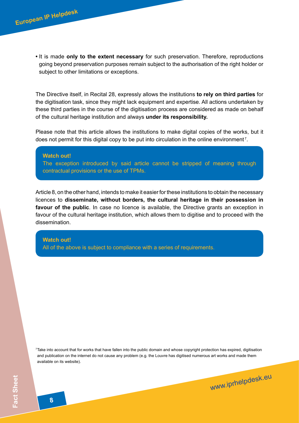**•** It is made **only to the extent necessary** for such preservation. Therefore, reproductions going beyond preservation purposes remain subject to the authorisation of the right holder or subject to other limitations or exceptions.

The Directive itself, in Recital 28, expressly allows the institutions **to rely on third parties** for the digitisation task, since they might lack equipment and expertise. All actions undertaken by these third parties in the course of the digitisation process are considered as made on behalf of the cultural heritage institution and always **under its responsibility.**

Please note that this article allows the institutions to make digital copies of the works, but it does not permit for this digital copy to be put into circulation in the online environment<sup>7</sup>.

#### **Watch out!**

**European IP Helpdesk**

The exception introduced by said article cannot be stripped of meaning through contractual provisions or the use of TPMs.

Article 8, on the other hand, intends to make it easier for these institutions to obtain the necessary licences to **disseminate, without borders, the cultural heritage in their possession in favour of the public**. In case no licence is available, the Directive grants an exception in favour of the cultural heritage institution, which allows them to digitise and to proceed with the dissemination.

### **Watch out!**

All of the above is subject to compliance with a series of requirements.

7  Take into account that for works that have fallen into the public domain and whose copyright protection has expired, digitisation and publication on the internet do not cause any problem (e.g. the Louvre has digitised numerous art works and made them available on its website).

www.iprhelpdesk.eu

**8**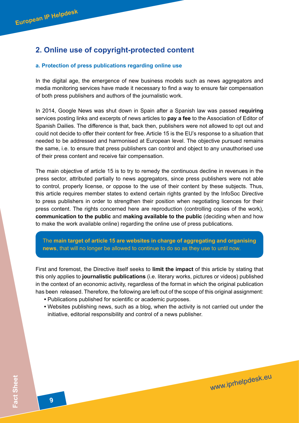# <span id="page-8-0"></span>**2. Online use of copyright-protected content**

### **a. Protection of press publications regarding online use**

In the digital age, the emergence of new business models such as news aggregators and media monitoring services have made it necessary to find a way to ensure fair compensation of both press publishers and authors of the journalistic work.

In 2014, Google News was shut down in Spain after a Spanish law was passed **requiring** services posting links and excerpts of news articles to **pay a fee** to the Association of Editor of Spanish Dailies. The difference is that, back then, publishers were not allowed to opt out and could not decide to offer their content for free. Article 15 is the EU's response to a situation that needed to be addressed and harmonised at European level. The objective pursued remains the same, i.e. to ensure that press publishers can control and object to any unauthorised use of their press content and receive fair compensation.

The main objective of article 15 is to try to remedy the continuous decline in revenues in the press sector, attributed partially to news aggregators, since press publishers were not able to control, properly license, or oppose to the use of their content by these subjects. Thus, this article requires member states to extend certain rights granted by the InfoSoc Directive to press publishers in order to strengthen their position when negotiating licences for their press content. The rights concerned here are reproduction (controlling copies of the work), **communication to the public** and **making available to the public** (deciding when and how to make the work available online) regarding the online use of press publications.

The **main target of article 15 are websites in charge of aggregating and organising news**, that will no longer be allowed to continue to do so as they use to until now.

First and foremost, the Directive itself seeks to **limit the impact** of this article by stating that this only applies to **journalistic publications** (i.e. literary works, pictures or videos) published in the context of an economic activity, regardless of the format in which the original publication has been released. Therefore, the following are left out of the scope of this original assignment:

- Publications published for scientific or academic purposes.
- Websites publishing news, such as a blog, when the activity is not carried out under the initiative, editorial responsibility and control of a news publisher.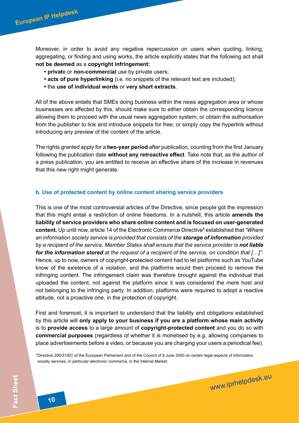Moreover, in order to avoid any negative repercussion on users when quoting, linking, aggregating, or finding and using works, the article explicitly states that the following act shall **not be deemed** as a **copyright infringement:**

- **privat**e or **non-commercial** use by private users;
- **acts of pure hyperlinking** (i.e. no snippets of the relevant text are included);
- the **use of individual words** or **very short extracts**.

All of the above entails that SMEs doing business within the news aggregation area or whose businesses are affected by this, should make sure to either obtain the corresponding licence allowing them to proceed with the usual news aggregation system; or obtain the authorisation from the publisher to link and introduce snippets for free; or simply copy the hyperlink without introducing any preview of the content of the article.

The rights granted apply for a **two-year period** after publication, counting from the first January following the publication date **without any retroactive effect**. Take note that, as the author of a press publication, you are entitled to receive an effective share of the increase in revenues that this new right might generate.

### **b. Use of protected content by online content sharing service providers**

This is one of the most controversial articles of the Directive, since people got the impression that this might entail a restriction of online freedoms. In a nutshell, this article **amends the liability of service providers who share online content and is focused on user-generated**  content. Up until now, article 14 of the Electronic Commerce Directive<sup>8</sup> established that "Where *an information society service is provided that consists of the storage of information provided*  by a recipient of the service, Member States shall ensure that the service provider is **not liable** *for the information stored at the request of a recipient of the service, on condition that […]".*  Hence, up to now, owners of copyright-protected content had to let platforms such as YouTube know of the existence of a violation, and the platforms would then proceed to remove the infringing content. The infringement claim was therefore brought against the individual that uploaded the content, not against the platform since it was considered the mere host and not belonging to the infringing party. In addition, platforms were required to adopt a reactive attitude, not a proactive one, in the protection of copyright.

First and foremost, it is important to understand that the liability and obligations established by this article will **only apply to your business if you are a platform whose main activity** is to **provide access** to a large amount of **copyright-protected content** and you do so with **commercial purposes** (regardless of whether it is monetised by e.g. allowing companies to place advertisements before a video, or because you are charging your users a periodical fee).

<sup>8</sup>Directive 200/31/EC of the European Parliament and of the Council of 8 June 2000 on certain legal aspects of information society services, in particular electronic commerce, in the Internal Market.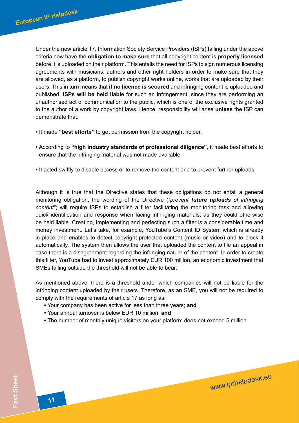Under the new article 17, Information Society Service Providers (ISPs) falling under the above criteria now have the **obligation to make sure** that all copyright content is **properly licensed**  before it is uploaded on their platform. This entails the need for ISPs to sign numerous licensing agreements with musicians, authors and other right holders in order to make sure that they are allowed, as a platform, to publish copyright works online, works that are uploaded by their users. This in turn means that **if no licence is secured** and infringing content is uploaded and published, **ISPs will be held liable** for such an infringement, since they are performing an unauthorised act of communication to the public, which is one of the exclusive rights granted to the author of a work by copyright laws. Hence, responsibility will arise **unless** the ISP can demonstrate that:

- It made **"best efforts"** to get permission from the copyright holder.
- According to **"high industry standards of professional diligence"**, it made best efforts to ensure that the infringing material was not made available.
- It acted swiftly to disable access or to remove the content and to prevent further uploads.

Although it is true that the Directive states that these obligations do not entail a general monitoring obligation, the wording of the Directive (*"prevent future uploads of infringing content"*) will require ISPs to establish a filter facilitating the monitoring task and allowing quick identification and response when facing infringing materials, as they could otherwise be held liable. Creating, implementing and perfecting such a filter is a considerable time and money investment. Let's take, for example, YouTube's Content ID System which is already in place and enables to detect copyright-protected content (music or video) and to block it automatically. The system then allows the user that uploaded the content to file an appeal in case there is a disagreement regarding the infringing nature of the content. In order to create this filter, YouTube had to invest approximately EUR 100 million, an economic investment that SMEs falling outside the threshold will not be able to bear.

As mentioned above, there is a threshold under which companies will not be liable for the infringing content uploaded by their users. Therefore, as an SME, you will not be required to comply with the requirements of article 17 as long as:

- Your company has been active for less than three years; **and**
- Your annual turnover is below EUR 10 million; **and**
- The number of monthly unique visitors on your platform does not exceed 5 million.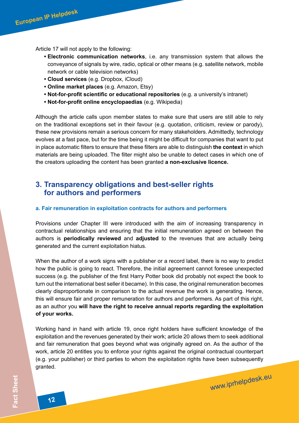<span id="page-11-0"></span>Article 17 will not apply to the following:

- **Electronic communication networks**, i.e. any transmission system that allows the conveyance of signals by wire, radio, optical or other means (e.g. satellite network, mobile network or cable television networks)
- **Cloud services** (e.g. Dropbox, iCloud)
- **Online market places** (e.g. Amazon, Etsy)
- **Not-for-profit scientific or educational repositories** (e.g. a university's intranet)
- **Not-for-profit online encyclopaedias** (e.g. Wikipedia)

Although the article calls upon member states to make sure that users are still able to rely on the traditional exceptions set in their favour (e.g. quotation, criticism, review or parody), these new provisions remain a serious concern for many stakeholders. Admittedly, technology evolves at a fast pace, but for the time being it might be difficult for companies that want to put in place automatic filters to ensure that these filters are able to distinguish **the context** in which materials are being uploaded. The filter might also be unable to detect cases in which one of the creators uploading the content has been granted **a non-exclusive licence.** 

## **3. Transparency obligations and best-seller rights for authors and performers**

### **a. Fair remuneration in exploitation contracts for authors and performers**

Provisions under Chapter III were introduced with the aim of increasing transparency in contractual relationships and ensuring that the initial remuneration agreed on between the authors is **periodically reviewed** and **adjusted** to the revenues that are actually being generated and the current exploitation hiatus.

When the author of a work signs with a publisher or a record label, there is no way to predict how the public is going to react. Therefore, the initial agreement cannot foresee unexpected success (e.g. the publisher of the first Harry Potter book did probably not expect the book to turn out the international best seller it became). In this case, the original remuneration becomes clearly disproportionate in comparison to the actual revenue the work is generating. Hence, this will ensure fair and proper remuneration for authors and performers. As part of this right, as an author you **will have the right to receive annual reports regarding the exploitation of your works.**

Working hand in hand with article 19, once right holders have sufficient knowledge of the exploitation and the revenues generated by their work; article 20 allows them to seek additional and fair remuneration that goes beyond what was originally agreed on. As the author of the work, article 20 entitles you to enforce your rights against the original contractual counterpart (e.g. your publisher) or third parties to whom the exploitation rights have been subsequently granted.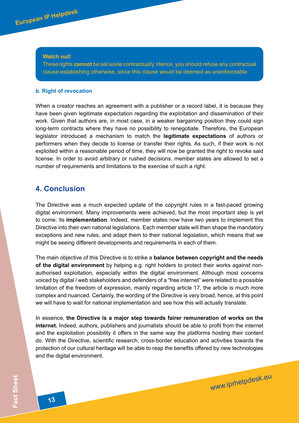<span id="page-12-0"></span>**European IP Helpdesk**

These rights **cannot** be set aside contractually. Hence, you should refuse any contractual clause establishing otherwise, since this clause would be deemed as unenforceable.

#### **b. Right of revocation**

When a creator reaches an agreement with a publisher or a record label, it is because they have been given legitimate expectation regarding the exploitation and dissemination of their work. Given that authors are, in most case, in a weaker bargaining position they could sign long-term contracts where they have no possibility to renegotiate. Therefore, the European legislator introduced a mechanism to match the **legitimate expectations** of authors or performers when they decide to license or transfer their rights. As such, if their work is not exploited within a reasonable period of time, they will now be granted the right to revoke said license. In order to avoid arbitrary or rushed decisions, member states are allowed to set a number of requirements and limitations to the exercise of such a right.

## **4. Conclusion**

The Directive was a much expected update of the copyright rules in a fast-paced growing digital environment. Many improvements were achieved, but the most important step is yet to come: its **implementation**. Indeed, member states now have two years to implement this Directive into their own national legislations. Each member state will then shape the mandatory exceptions and new rules, and adapt them to their national legislation, which means that we might be seeing different developments and requirements in each of them.

The main objective of this Directive is to strike a **balance between copyright and the needs of the digital environment** by helping e.g. right holders to protect their works against nonauthorised exploitation, especially within the digital environment. Although most concerns voiced by digital / web stakeholders and defenders of a "free internet" were related to a possible limitation of the freedom of expression, mainly regarding article 17, the article is much more complex and nuanced. Certainly, the wording of the Directive is very broad, hence, at this point we will have to wait for national implementation and see how this will actually translate.

In essence, **the Directive is a major step towards fairer remuneration of works on the internet.** Indeed, authors, publishers and journalists should be able to profit from the internet and the exploitation possibility it offers in the same way the platforms hosting their content do. With the Directive, scientific research, cross-border education and activities towards the protection of our cultural heritage will be able to reap the benefits offered by new technologies and the digital environment.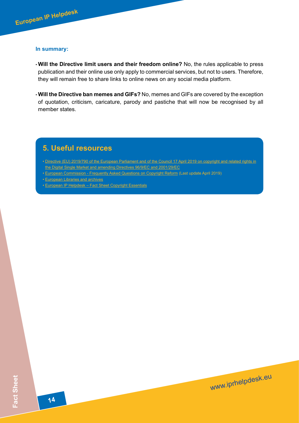<span id="page-13-0"></span>

### **In summary:**

- **Will the Directive limit users and their freedom online?** No, the rules applicable to press publication and their online use only apply to commercial services, but not to users. Therefore, they will remain free to share links to online news on any social media platform.
- **Will the Directive ban memes and GIFs?** No, memes and GIFs are covered by the exception of quotation, criticism, caricature, parody and pastiche that will now be recognised by all member states.

# **5. Useful resources**

*•* [Directive \(EU\) 2019/790 of the European Parliament and of the Council 17 April 2019 on copyright and related rights in](https://eur-lex.europa.eu/legal-content/EN/TXT/?uri=uriserv:OJ.L_.2019.130.01.0092.01.ENG&toc=OJ:L:2019:130:TOC) [the Digital Single Market and amending Directives 96/9/EC and 2001/29/EC](https://eur-lex.europa.eu/legal-content/EN/TXT/?uri=uriserv:OJ.L_.2019.130.01.0092.01.ENG&toc=OJ:L:2019:130:TOC)

- [European Commission Frequently Asked Questions on Copyright Reform](https://ec.europa.eu/digital-single-market/en/faq/frequently-asked-questions-copyright-reform) (Last update April 2019)
- [European Libraries and archives](https://europa.eu/european-union/documents-publications/libraries-archives_en)
- [European IP Helpdesk](https://www.iprhelpdesk.eu/Fact-Sheet-Copyright-Essentials)  Fact Sheet Copyright Essentials